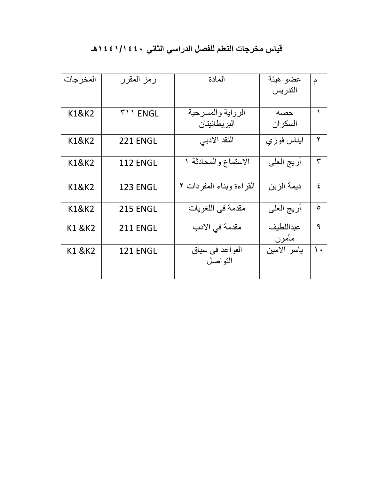## **قياس مخرجات التعلم للفصل الدراسي الثاني 1441/1440هـ**

| المخر جات         | رمز المقرر      | المادة                   | عضو هيئة    | م             |
|-------------------|-----------------|--------------------------|-------------|---------------|
|                   |                 |                          | التدريس     |               |
|                   |                 |                          |             |               |
| K1&K2             | <b>TII ENGL</b> | الرواية والمسرحية        | حصه         |               |
|                   |                 | البر يطانيتان            | السكر ان    |               |
| K1&K2             | <b>221 ENGL</b> | النقد الادبي             | ابناس فوزي  | ٢             |
|                   |                 |                          |             |               |
| K1&K2             | <b>112 ENGL</b> | الاستماع والمحادثة ١     | أريج العلي  | ٣             |
|                   |                 |                          |             |               |
| K1&K2             | <b>123 ENGL</b> | القراءة وبناء المفردات ٢ | ديمة الزبن  | ٤             |
|                   |                 |                          |             |               |
| <b>K1&amp;K2</b>  | <b>215 ENGL</b> | مقدمة في اللغويات        | أريج العلي  | $\circ$       |
| <b>K1 &amp;K2</b> | <b>211 ENGL</b> | مقدمة في الادب           | عبداللطيف   | ٩             |
|                   |                 |                          | مأمون       |               |
| K1 & K2           | <b>121 ENGL</b> | القواعد في سياق          | ياسر الامين | $\mathcal{L}$ |
|                   |                 | التواصل                  |             |               |
|                   |                 |                          |             |               |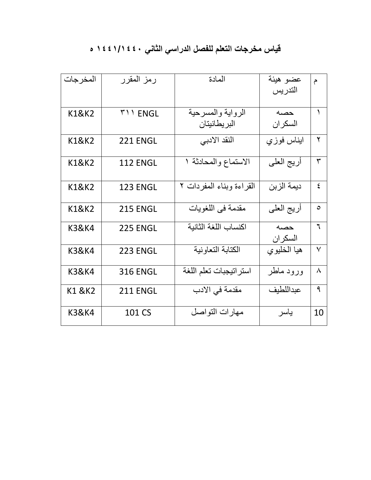## **قياس مخرجات التعلم للفصل الدراسي الثاني 1441/1440 ه**

| المخر جات         | رمز المقرر      | المادة                            | عضو هيئة         | م            |
|-------------------|-----------------|-----------------------------------|------------------|--------------|
|                   |                 |                                   | التدريس          |              |
| <b>K1&amp;K2</b>  | <b>MILENGL</b>  | الرواية والمسرحية<br>البريطانيتان | حصبه<br>السكر ان | ١            |
| <b>K1&amp;K2</b>  | 221 ENGL        | النقد الادبي                      | ابناس فوزي       | ۲            |
| K1&K2             | <b>112 ENGL</b> | الاستماع والمحادثة ١              | أريج العلي       | ٣            |
| K1&K2             | <b>123 ENGL</b> | القراءة وبناء المفردات ٢          | ديمة الزبن       | $\mathsf{E}$ |
| K1&K2             | <b>215 ENGL</b> | مقدمة في اللغويات                 | أريج العلي       | ٥            |
| K3&K4             | <b>225 ENGL</b> | اكنساب اللغة الثانية              | حصه<br>السكران   | ٦            |
| <b>K3&amp;K4</b>  | <b>223 ENGL</b> | الكتابة التعاونية                 | هيا الخليوي      | $\checkmark$ |
| <b>K3&amp;K4</b>  | <b>316 ENGL</b> | استر اتيجبات تعلم اللغة           | ورود ماطر        | ٨            |
| <b>K1 &amp;K2</b> | 211 ENGL        | مقدمة في الادب                    | عبداللطيف        | ٩            |
| <b>K3&amp;K4</b>  | 101 CS          | مهارات التواصل                    | ياسر             | 10           |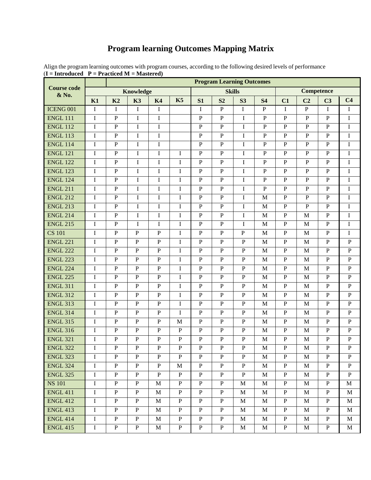## **Program learning Outcomes Mapping Matrix**

| <b>Course code</b><br>& No. | $-11$ actived $M - M$ astel eu $\prime$<br><b>Program Learning Outcomes</b> |                |                |                |                |                |                |                |                   |                |                |                |                |
|-----------------------------|-----------------------------------------------------------------------------|----------------|----------------|----------------|----------------|----------------|----------------|----------------|-------------------|----------------|----------------|----------------|----------------|
|                             | <b>Knowledge</b>                                                            |                |                |                | <b>Skills</b>  |                |                |                | <b>Competence</b> |                |                |                |                |
|                             | K1                                                                          | K <sub>2</sub> | K3             | <b>K4</b>      | K5             | S1             | S <sub>2</sub> | S <sub>3</sub> | <b>S4</b>         | C1             | C <sub>2</sub> | C <sub>3</sub> | C <sub>4</sub> |
| ICENG 001                   | I                                                                           | I              | $\bf{I}$       | $\bf{I}$       |                | $\mathbf I$    | $\, {\bf P}$   | $\bf{I}$       | ${\bf P}$         | I              | ${\bf P}$      | $\mathbf I$    | $\mathbf I$    |
| <b>ENGL 111</b>             | $\mathbf I$                                                                 | $\overline{P}$ | $\bf I$        | $\mathbf I$    |                | $\overline{P}$ | $\, {\bf P}$   | $\mathbf I$    | $\mathbf P$       | $\mathbf{P}$   | ${\bf P}$      | $\mathbf{P}$   | $\mathbf I$    |
| <b>ENGL 112</b>             | $\mathbf I$                                                                 | $\mathbf P$    | $\bf I$        | I              |                | ${\bf P}$      | ${\bf P}$      | $\bf{I}$       | $\mathbf P$       | $\mathbf{P}$   | $\mathbf{P}$   | $\mathbf{P}$   | I              |
| <b>ENGL 113</b>             | $\mathbf I$                                                                 | $\mathbf{P}$   | $\bf I$        | $\mathbf I$    |                | $\mathbf{P}$   | $\, {\bf P}$   | $\mathbf I$    | ${\bf P}$         | $\mathbf{P}$   | ${\bf P}$      | $\mathbf{P}$   | $\mathbf I$    |
| <b>ENGL 114</b>             | I                                                                           | $\mathbf{P}$   | $\bf I$        | I              |                | $\mathbf{P}$   | ${\bf P}$      | I              | $\mathbf P$       | $\mathbf{P}$   | ${\bf P}$      | $\mathbf{P}$   | I              |
| <b>ENGL 121</b>             | $\mathbf I$                                                                 | $\overline{P}$ | $\bf I$        | $\mathbf I$    | I              | $\mathbf{P}$   | $\, {\bf P}$   | $\mathbf I$    | $\, {\bf P}$      | $\mathbf{P}$   | ${\bf P}$      | $\mathbf{P}$   | $\mathbf I$    |
| <b>ENGL 122</b>             | I                                                                           | $\mathbf P$    | I              | I              | I              | ${\bf P}$      | $\mathbf{P}$   | I              | $\mathbf{P}$      | $\mathbf{P}$   | ${\bf P}$      | P              | I              |
| <b>ENGL 123</b>             | $\mathbf I$                                                                 | $\mathbf{P}$   | $\bf I$        | $\mathbf I$    | $\mathbf I$    | $\mathbf{P}$   | $\, {\bf P}$   | $\mathbf I$    | ${\bf P}$         | $\, {\bf P}$   | ${\bf P}$      | $\overline{P}$ | $\mathbf I$    |
| <b>ENGL 124</b>             | $\mathbf I$                                                                 | $\mathbf{P}$   | $\mathbf I$    | I              | $\mathbf I$    | $\overline{P}$ | $\mathbf{P}$   | I              | $\mathbf{P}$      | $\mathbf{P}$   | ${\bf P}$      | $\mathbf{P}$   | I              |
| <b>ENGL 211</b>             | $\bf I$                                                                     | $\mathbf P$    | $\bf I$        | I              | $\mathbf I$    | ${\bf P}$      | ${\bf P}$      | I              | $\mathbf P$       | $\overline{P}$ | ${\bf P}$      | ${\bf P}$      | I              |
| <b>ENGL 212</b>             | I                                                                           | $\mathbf{P}$   | $\mathbf I$    | I              | $\mathbf I$    | $\overline{P}$ | ${\bf P}$      | I              | M                 | $\mathbf{P}$   | $\mathbf{P}$   | $\mathbf{P}$   | $\bf{I}$       |
| <b>ENGL 213</b>             | $\mathbf I$                                                                 | $\, {\bf P}$   | $\bf I$        | $\mathbf I$    | $\mathbf I$    | $\mathbf{P}$   | ${\bf P}$      | $\bf{I}$       | $\mathbf M$       | $\mathbf{P}$   | $\mathbf{P}$   | $\mathbf{P}$   | $\mathbf I$    |
| <b>ENGL 214</b>             | $\mathbf I$                                                                 | $\mathbf{P}$   | $\bf{I}$       | I              | I              | $\overline{P}$ | ${\bf P}$      | I              | $\mathbf{M}$      | $\overline{P}$ | M              | $\overline{P}$ | $\bf{I}$       |
| <b>ENGL 215</b>             | $\mathbf I$                                                                 | $\overline{P}$ | $\mathbf I$    | I              | $\mathbf I$    | $\overline{P}$ | ${\bf P}$      | I              | M                 | $\overline{P}$ | $\mathbf M$    | $\overline{P}$ | I              |
| <b>CS 101</b>               | I                                                                           | $\mathbf{P}$   | ${\bf P}$      | $\mathbf{P}$   | $\mathbf I$    | $\, {\bf P}$   | ${\bf P}$      | ${\bf P}$      | $\mathbf M$       | ${\bf P}$      | $\mathbf M$    | $\mathbf P$    | $\mathbf I$    |
| <b>ENGL 221</b>             | I                                                                           | $\mathbf{P}$   | ${\bf P}$      | $\mathbf{P}$   | $\mathbf I$    | $\overline{P}$ | ${\bf P}$      | $\overline{P}$ | $\mathbf M$       | $\mathbf{P}$   | $\mathbf M$    | $\mathbf{P}$   | ${\bf P}$      |
| <b>ENGL 222</b>             | $\mathbf I$                                                                 | $\mathbf P$    | ${\bf P}$      | $\mathbf{P}$   | $\mathbf I$    | ${\bf P}$      | ${\bf P}$      | $\mathbf{P}$   | $\mathbf M$       | $\, {\bf P}$   | $\mathbf{M}$   | $\, {\bf P}$   | ${\bf P}$      |
| <b>ENGL 223</b>             | I                                                                           | $\mathbf{P}$   | ${\bf P}$      | $\mathbf{P}$   | I              | $\mathbf{P}$   | ${\bf P}$      | $\mathbf{P}$   | M                 | $\mathbf{P}$   | $\mathbf{M}$   | $\, {\bf P}$   | ${\bf P}$      |
| <b>ENGL 224</b>             | $\mathbf I$                                                                 | $\mathbf P$    | $\mathbf{P}$   | ${\bf P}$      | $\mathbf I$    | ${\bf P}$      | ${\bf P}$      | $\mathbf{P}$   | M                 | $\mathbf{P}$   | $\mathbf{M}$   | $\mathbf{P}$   | ${\bf P}$      |
| <b>ENGL 225</b>             | $\mathbf I$                                                                 | $\mathbf{P}$   | $\mathbf{P}$   | $\mathbf{P}$   | $\mathbf I$    | $\overline{P}$ | ${\bf P}$      | $\mathbf{P}$   | M                 | $\mathbf{P}$   | M              | $\mathbf{P}$   | ${\bf P}$      |
| <b>ENGL 311</b>             | I                                                                           | $\mathbf P$    | ${\bf P}$      | $\mathbf{P}$   | I              | $\mathbf{P}$   | ${\bf P}$      | $\mathbf{P}$   | M                 | $\mathbf{P}$   | M              | $\mathbf{P}$   | $\mathbf{P}$   |
| <b>ENGL 312</b>             | I                                                                           | $\mathbf{P}$   | ${\bf P}$      | $\mathbf{P}$   | I              | $\, {\bf P}$   | $\, {\bf P}$   | $\mathbf{P}$   | $\mathbf M$       | ${\bf P}$      | $\mathbf M$    | $\mathbf{P}$   | ${\bf P}$      |
| <b>ENGL 313</b>             | $\mathbf I$                                                                 | $\mathbf P$    | ${\bf P}$      | $\mathbf{P}$   | $\mathbf I$    | $\overline{P}$ | ${\bf P}$      | $\mathbf{P}$   | M                 | $\mathbf{P}$   | M              | $\mathbf{P}$   | $\mathbf{P}$   |
| <b>ENGL 314</b>             | $\mathbf I$                                                                 | $\mathbf P$    | ${\bf P}$      | ${\bf P}$      | I              | ${\bf P}$      | ${\bf P}$      | ${\bf P}$      | $\mathbf M$       | ${\bf P}$      | $\mathbf M$    | $\mathbf P$    | ${\bf P}$      |
| <b>ENGL 315</b>             | $\mathbf I$                                                                 | $\overline{P}$ | ${\bf P}$      | $\mathbf{P}$   | M              | $\mathbf P$    | ${\bf P}$      | $\mathbf{P}$   | M                 | $\mathbf{P}$   | $\mathbf M$    | $\mathbf P$    | ${\bf P}$      |
| <b>ENGL 316</b>             | I                                                                           | $\mathbf P$    | $\mathbf{P}$   | $\mathbf{P}$   | $\mathbf P$    | $\, {\bf P}$   | ${\bf P}$      | $\mathbf{P}$   | M                 | $\, {\bf P}$   | $\mathbf{M}$   | ${\bf P}$      | ${\bf P}$      |
| <b>ENGL 321</b>             | $\mathbf I$                                                                 | $\mathbf{P}$   | ${\bf P}$      | $\mathbf{P}$   | ${\bf P}$      | $\overline{P}$ | ${\bf P}$      | $\mathbf{P}$   | $\mathbf M$       | $\mathbf{P}$   | $\mathbf M$    | $\mathbf P$    | ${\bf P}$      |
| <b>ENGL 322</b>             | I                                                                           | P              | P              | Ρ              | P              | P              | P              | P              | M                 | P              | M              | P              | P              |
| <b>ENGL 323</b>             | $\mathbf I$                                                                 | $\overline{P}$ | $\overline{P}$ | $\mathbf{P}$   | $\overline{P}$ | $\overline{P}$ | $\overline{P}$ | $\overline{P}$ | $\mathbf{M}$      | $\overline{P}$ | $\mathbf M$    | $\overline{P}$ | $\overline{P}$ |
| <b>ENGL 324</b>             | I                                                                           | ${\bf P}$      | $\mathbf{P}$   | $\mathbf{P}$   | M              | $\, {\bf P}$   | P              | $\, {\bf P}$   | M                 | $\mathbf{P}$   | M              | $\mathbf{P}$   | $\mathbf{P}$   |
| <b>ENGL 325</b>             | $\bf I$                                                                     | $\overline{P}$ | $\overline{P}$ | $\overline{P}$ | $\mathbf{P}$   | $\overline{P}$ | $\overline{P}$ | $\overline{P}$ | $\mathbf M$       | $\overline{P}$ | $\mathbf{M}$   | $\overline{P}$ | $\, {\bf P}$   |
| <b>NS 101</b>               | $\mathbf I$                                                                 | $\mathbf{P}$   | $\mathbf{P}$   | M              | P              | $\mathbf{P}$   | P              | M              | M                 | $\mathbf{P}$   | M              | $\, {\bf P}$   | M              |
| <b>ENGL 411</b>             | I                                                                           | $\mathbf{P}$   | $\mathbf{P}$   | M              | $\mathbf{P}$   | $\mathbf{P}$   | P              | M              | M                 | $\mathbf{P}$   | M              | $\mathbf{P}$   | M              |
| <b>ENGL 412</b>             | $\mathbf I$                                                                 | $\mathbf{P}$   | $\, {\bf P}$   | M              | $\, {\bf P}$   | $\mathbf{P}$   | $\, {\bf P}$   | M              | M                 | ${\bf P}$      | M              | $\mathbf{P}$   | M              |
| <b>ENGL 413</b>             | $\mathbf I$                                                                 | $\mathbf{P}$   | $\mathbf{P}$   | M              | $\mathbf{P}$   | $\, {\bf P}$   | $\mathbf{P}$   | M              | M                 | $\mathbf{P}$   | M              | P              | M              |
| <b>ENGL 414</b>             | $\mathbf I$                                                                 | $\mathbf{P}$   | $\, {\bf P}$   | $\mathbf{M}$   | $\mathbf{P}$   | $\overline{P}$ | $\mathbf{P}$   | $\mathbf M$    | $\mathbf M$       | $\mathbf{P}$   | $\mathbf{M}$   | $\mathbf{P}$   | $\mathbf M$    |
| <b>ENGL 415</b>             | $\bf I$                                                                     | $\, {\bf P}$   | $\mathbf{P}$   | M              | $\mathbf{P}$   | $\mathbf{P}$   | $\mathbf{P}$   | M              | М                 | $\mathbf{P}$   | $\mathbf M$    | $\, {\bf P}$   | M              |

Align the program learning outcomes with program courses, according to the following desired levels of performance  $(I = Introduced \ P = Practical \ M = Mastered)$